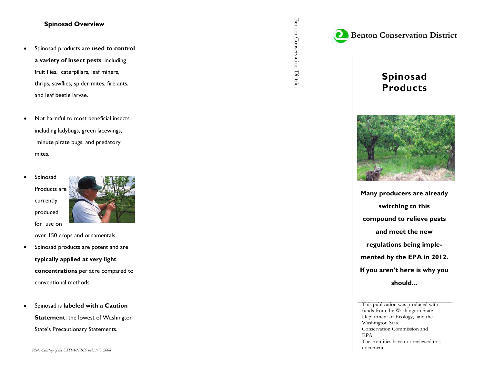## **Spinosad Overview**

- $\bullet$  Spinosad products are **used to control a variety of insect pests**, including fruit flies, caterpillars, leaf miners, thrips, sawflies, spider mites, fire ants, and leaf beetle larvae.
- $\bullet$  Not harmful to most beneficial insects including ladybugs, green lacewings, minute pirate bugs, and predatory mites.
- $\bullet$  Spinosad Products are currently produced for use on



over 150 crops and ornamentals.

- $\bullet$  Spinosad products are potent and are **typically applied at very light concentrations** per acre compared to conventional methods.
- $\bullet$  Spinosad is **labeled with a Caution Statement**; the lowest of Washington State's Precautionary Statements.







**Many producers are already switching to this compound to relieve pests and meet the new regulations being implemented by the EPA in 2012. If you aren't here is why you should...** 

This publication was produced with funds from the Washington State Department of Ecology, and the Washington State Conservation Commission and EPA. These entities have not reviewed this